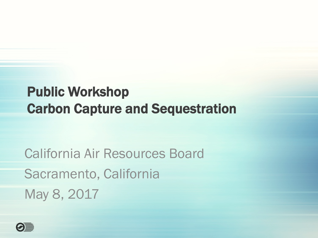#### Public Workshop Carbon Capture and Sequestration

California Air Resources Board Sacramento, California May 8, 2017

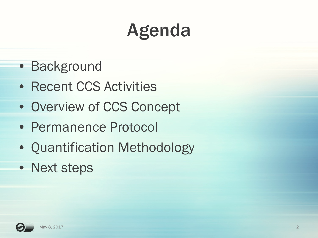### Agenda

- Background
- Recent CCS Activities
- Overview of CCS Concept
- Permanence Protocol
- Quantification Methodology
- Next steps

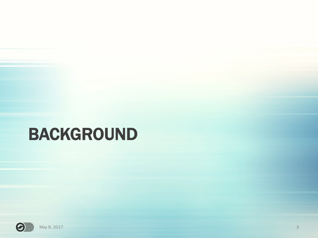#### BACKGROUND

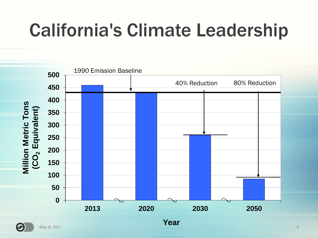### California's Climate Leadership



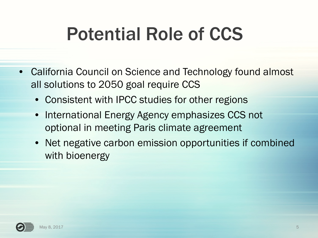### Potential Role of CCS

- California Council on Science and Technology found almost all solutions to 2050 goal require CCS
	- Consistent with IPCC studies for other regions
	- International Energy Agency emphasizes CCS not optional in meeting Paris climate agreement
	- Net negative carbon emission opportunities if combined with bioenergy

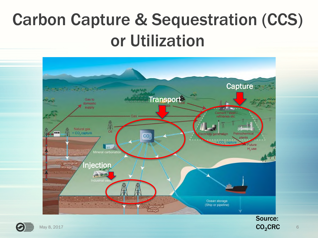#### Carbon Capture & Sequestration (CCS) or Utilization





CO<sub>2</sub>CRC

6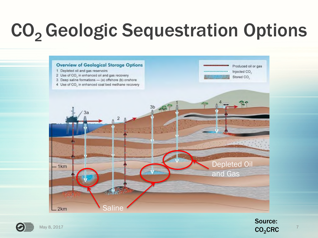### CO<sub>2</sub> Geologic Sequestration Options





Source:  $CO<sub>2</sub>$ CRC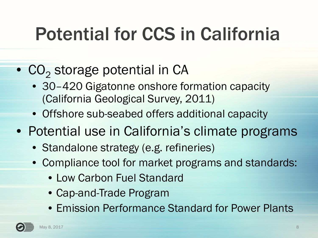### Potential for CCS in California

- $\bullet$  CO<sub>2</sub> storage potential in CA
	- 30-420 Gigatonne onshore formation capacity (California Geological Survey, 2011)
	- Offshore sub-seabed offers additional capacity
- Potential use in California's climate programs
	- Standalone strategy (e.g. refineries)
	- Compliance tool for market programs and standards:
		- Low Carbon Fuel Standard
		- Cap-and-Trade Program
		- Emission Performance Standard for Power Plants

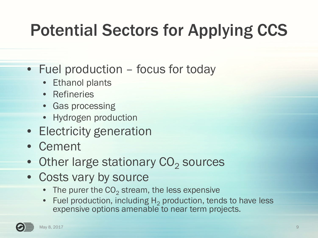#### Potential Sectors for Applying CCS

- Fuel production focus for today
	- **Ethanol plants**
	- Refineries
	- Gas processing
	- Hydrogen production
- Electricity generation
- Cement
- Other large stationary  $\mathrm{CO}_2$  sources
- Costs vary by source
	- The purer the  $\mathrm{CO}_2$  stream, the less expensive
	- Fuel production, including  $H_2$  production, tends to have less expensive options amenable to near term projects.

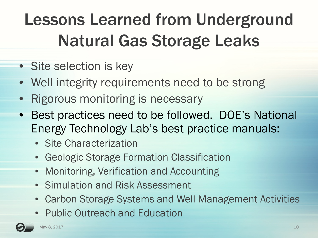#### Lessons Learned from Underground Natural Gas Storage Leaks

- Site selection is key
- Well integrity requirements need to be strong
- Rigorous monitoring is necessary
- Best practices need to be followed. DOE's National Energy Technology Lab's best practice manuals:
	- Site Characterization
	- Geologic Storage Formation Classification
	- Monitoring, Verification and Accounting
	- Simulation and Risk Assessment
	- Carbon Storage Systems and Well Management Activities
	- Public Outreach and Education

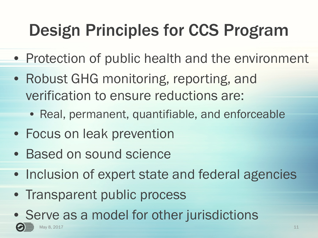#### Design Principles for CCS Program

- Protection of public health and the environment
- Robust GHG monitoring, reporting, and verification to ensure reductions are:
	- Real, permanent, quantifiable, and enforceable
- Focus on leak prevention
- Based on sound science
- Inclusion of expert state and federal agencies
- Transparent public process
- Serve as a model for other jurisdictions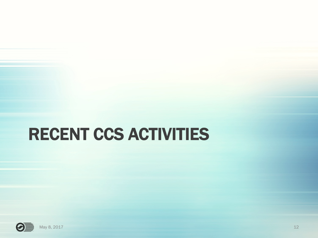#### RECENT CCS ACTIVITIES

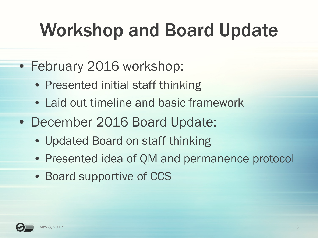### Workshop and Board Update

- February 2016 workshop:
	- Presented initial staff thinking
	- Laid out timeline and basic framework
- December 2016 Board Update:
	- Updated Board on staff thinking
	- Presented idea of QM and permanence protocol
	- Board supportive of CCS

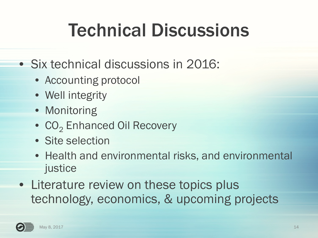### Technical Discussions

- Six technical discussions in 2016:
	- Accounting protocol
	- Well integrity
	- Monitoring
	- CO<sub>2</sub> Enhanced Oil Recovery
	- Site selection
	- Health and environmental risks, and environmental justice
- Literature review on these topics plus technology, economics, & upcoming projects

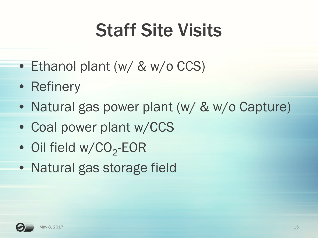### Staff Site Visits

- Ethanol plant (w/ & w/o CCS)
- Refinery
- Natural gas power plant (w/ & w/o Capture)
- Coal power plant w/CCS
- Oil field w/CO<sub>2</sub>-EOR
- Natural gas storage field

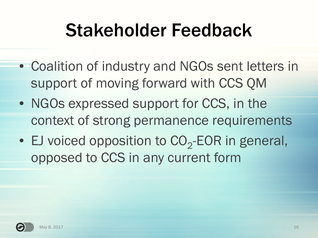#### Stakeholder Feedback

- Coalition of industry and NGOs sent letters in support of moving forward with CCS QM
- NGOs expressed support for CCS, in the context of strong permanence requirements
- EJ voiced opposition to  $CO_2$ -EOR in general, opposed to CCS in any current form

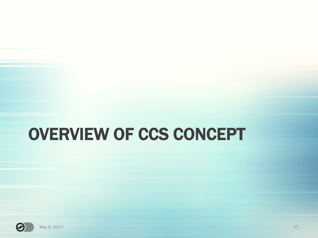#### OVERVIEW OF CCS CONCEPT

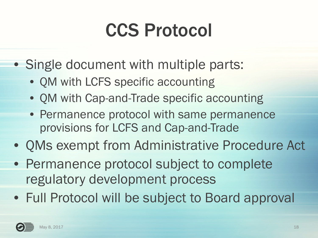### CCS Protocol

- Single document with multiple parts:
	- QM with LCFS specific accounting
	- QM with Cap-and-Trade specific accounting
	- Permanence protocol with same permanence provisions for LCFS and Cap-and-Trade
- QMs exempt from Administrative Procedure Act
- Permanence protocol subject to complete regulatory development process
- Full Protocol will be subject to Board approval

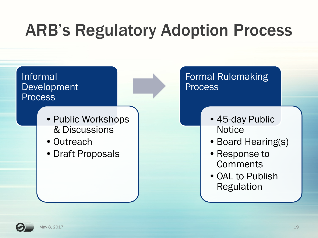#### ARB's Regulatory Adoption Process



- Public Workshops & Discussions
- •Outreach
- •Draft Proposals

#### Formal Rulemaking **Process**

- •45-day Public **Notice**
- Board Hearing(s)
- •Response to **Comments**
- •OAL to Publish Regulation

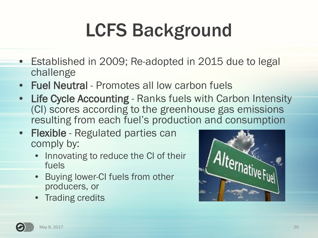### LCFS Background

- Established in 2009; Re-adopted in 2015 due to legal challenge
- Fuel Neutral Promotes all low carbon fuels
- Life Cycle Accounting Ranks fuels with Carbon Intensity (CI) scores according to the greenhouse gas emissions resulting from each fuel's production and consumption
- Flexible Regulated parties can comply by:
	- Innovating to reduce the CI of their fuels
	- Buying lower-CI fuels from other producers, or
	- Trading credits



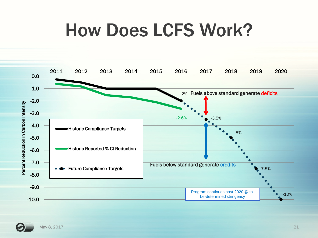#### How Does LCFS Work?



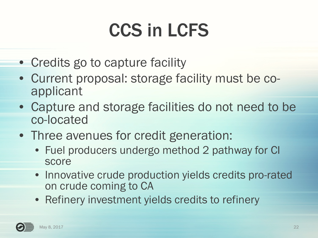### CCS in LCFS

- Credits go to capture facility
- Current proposal: storage facility must be coapplicant
- Capture and storage facilities do not need to be co-located
- Three avenues for credit generation:
	- Fuel producers undergo method 2 pathway for CI score
	- Innovative crude production yields credits pro-rated on crude coming to CA
	- Refinery investment yields credits to refinery

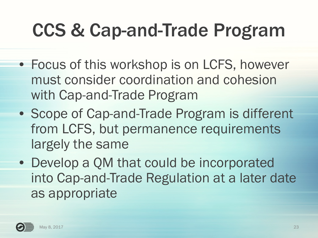### CCS & Cap-and-Trade Program

- Focus of this workshop is on LCFS, however must consider coordination and cohesion with Cap-and-Trade Program
- Scope of Cap-and-Trade Program is different from LCFS, but permanence requirements largely the same
- Develop a QM that could be incorporated into Cap-and-Trade Regulation at a later date as appropriate

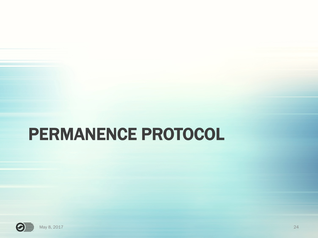#### PERMANENCE PROTOCOL

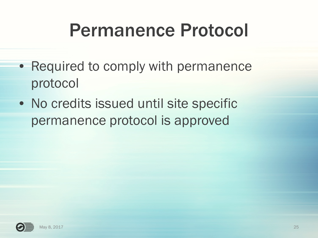#### Permanence Protocol

- Required to comply with permanence protocol
- No credits issued until site specific permanence protocol is approved

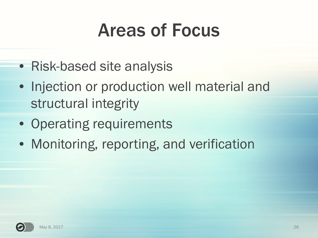#### Areas of Focus

- Risk-based site analysis
- Injection or production well material and structural integrity
- Operating requirements
- Monitoring, reporting, and verification

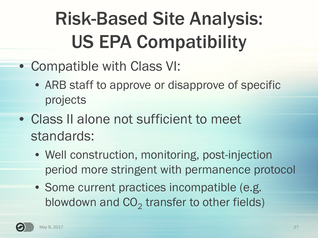# Risk-Based Site Analysis: US EPA Compatibility

- Compatible with Class VI:
	- ARB staff to approve or disapprove of specific projects
- Class II alone not sufficient to meet standards:
	- Well construction, monitoring, post-injection period more stringent with permanence protocol
	- Some current practices incompatible (e.g. blowdown and  $CO_2$  transfer to other fields)

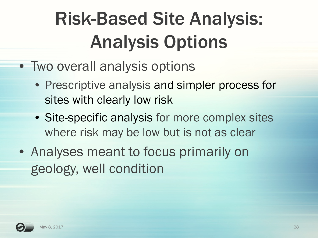# Risk-Based Site Analysis: Analysis Options

- Two overall analysis options
	- Prescriptive analysis and simpler process for sites with clearly low risk
	- Site-specific analysis for more complex sites where risk may be low but is not as clear
- Analyses meant to focus primarily on geology, well condition

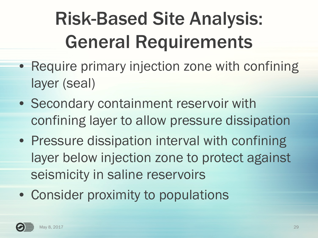# Risk-Based Site Analysis: General Requirements

- Require primary injection zone with confining layer (seal)
- Secondary containment reservoir with confining layer to allow pressure dissipation
- Pressure dissipation interval with confining layer below injection zone to protect against seismicity in saline reservoirs
- Consider proximity to populations

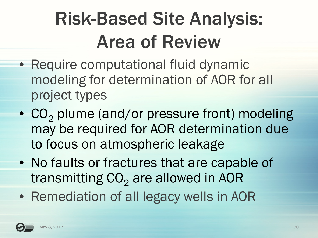### Risk-Based Site Analysis: Area of Review

- Require computational fluid dynamic modeling for determination of AOR for all project types
- $CO<sub>2</sub>$  plume (and/or pressure front) modeling may be required for AOR determination due to focus on atmospheric leakage
- No faults or fractures that are capable of transmitting  $CO<sub>2</sub>$  are allowed in AOR
- Remediation of all legacy wells in AOR

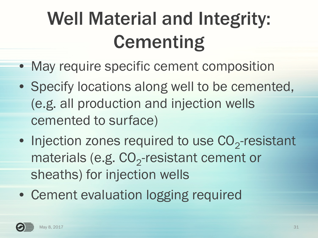# Well Material and Integrity: **Cementing**

- May require specific cement composition
- Specify locations along well to be cemented, (e.g. all production and injection wells cemented to surface)
- Injection zones required to use  $CO_2$ -resistant materials (e.g.  $CO_2$ -resistant cement or sheaths) for injection wells
- Cement evaluation logging required

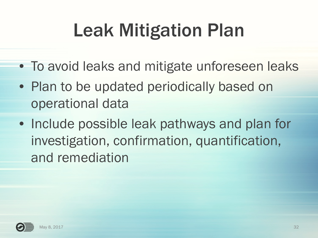# Leak Mitigation Plan

- To avoid leaks and mitigate unforeseen leaks
- Plan to be updated periodically based on operational data
- Include possible leak pathways and plan for investigation, confirmation, quantification, and remediation

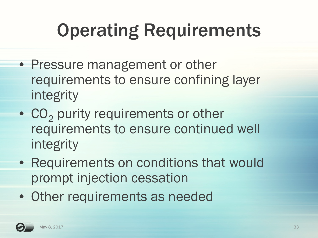### Operating Requirements

- Pressure management or other requirements to ensure confining layer integrity
- $CO<sub>2</sub>$  purity requirements or other requirements to ensure continued well integrity
- Requirements on conditions that would prompt injection cessation
- Other requirements as needed

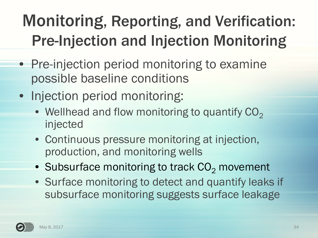#### Monitoring, Reporting, and Verification: Pre-Injection and Injection Monitoring

- Pre-injection period monitoring to examine possible baseline conditions
- Injection period monitoring:
	- Wellhead and flow monitoring to quantify  $CO<sub>2</sub>$ injected
	- Continuous pressure monitoring at injection, production, and monitoring wells
	- Subsurface monitoring to track  $CO<sub>2</sub>$  movement
	- Surface monitoring to detect and quantify leaks if subsurface monitoring suggests surface leakage

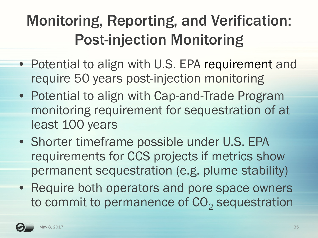#### Monitoring, Reporting, and Verification: Post-injection Monitoring

- Potential to align with U.S. EPA requirement and require 50 years post-injection monitoring
- Potential to align with Cap-and-Trade Program monitoring requirement for sequestration of at least 100 years
- Shorter timeframe possible under U.S. EPA requirements for CCS projects if metrics show permanent sequestration (e.g. plume stability)
- Require both operators and pore space owners to commit to permanence of  $\mathrm{CO}_2$  sequestration

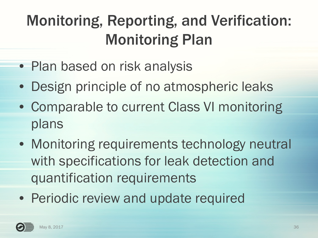#### Monitoring, Reporting, and Verification: Monitoring Plan

- Plan based on risk analysis
- Design principle of no atmospheric leaks
- Comparable to current Class VI monitoring plans
- Monitoring requirements technology neutral with specifications for leak detection and quantification requirements
- Periodic review and update required

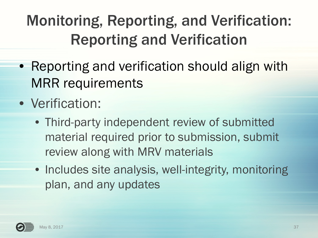#### Monitoring, Reporting, and Verification: Reporting and Verification

- Reporting and verification should align with MRR requirements
- Verification:
	- Third-party independent review of submitted material required prior to submission, submit review along with MRV materials
	- Includes site analysis, well-integrity, monitoring plan, and any updates

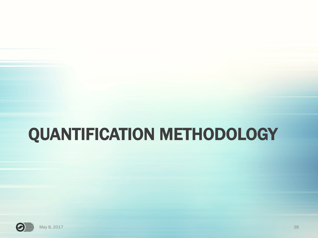#### QUANTIFICATION METHODOLOGY

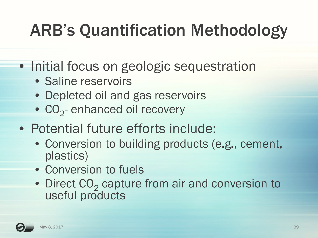#### ARB's Quantification Methodology

• Initial focus on geologic sequestration

- Saline reservoirs
- Depleted oil and gas reservoirs
- $\bullet$  CO<sub>2</sub>-enhanced oil recovery
- Potential future efforts include:
	- Conversion to building products (e.g., cement, plastics)
	- Conversion to fuels
	- Direct CO<sub>2</sub> capture from air and conversion to useful products

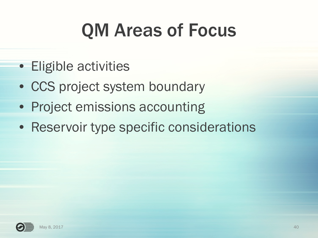### QM Areas of Focus

- Eligible activities
- CCS project system boundary
- Project emissions accounting
- Reservoir type specific considerations

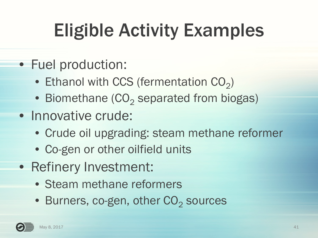# Eligible Activity Examples

- Fuel production:
	- Ethanol with CCS (fermentation  $CO<sub>2</sub>$ )
	- Biomethane ( $CO_2$  separated from biogas)
- Innovative crude:
	- Crude oil upgrading: steam methane reformer
	- Co-gen or other oilfield units
- Refinery Investment:
	- Steam methane reformers
	- $\bullet\,$  Burners, co-gen, other  $\rm{CO}_2$  sources

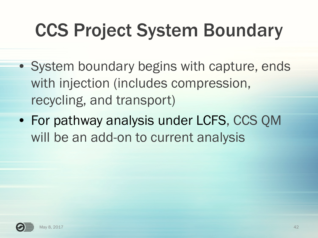# CCS Project System Boundary

- System boundary begins with capture, ends with injection (includes compression, recycling, and transport)
- For pathway analysis under LCFS, CCS QM will be an add-on to current analysis

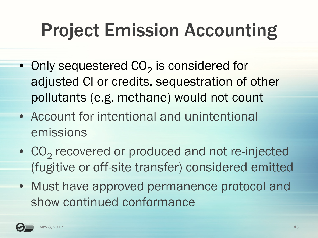### Project Emission Accounting

- $\bullet\,$  Only sequestered CO $_2$  is considered for adjusted CI or credits, sequestration of other pollutants (e.g. methane) would not count
- Account for intentional and unintentional emissions
- $CO_2$  recovered or produced and not re-injected (fugitive or off-site transfer) considered emitted
- Must have approved permanence protocol and show continued conformance

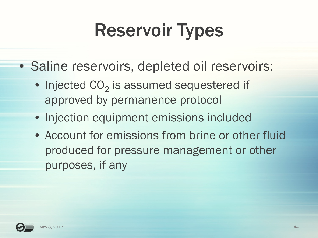### Reservoir Types

- Saline reservoirs, depleted oil reservoirs:
	- $\bullet$  Injected CO<sub>2</sub> is assumed sequestered if approved by permanence protocol
	- Injection equipment emissions included
	- Account for emissions from brine or other fluid produced for pressure management or other purposes, if any

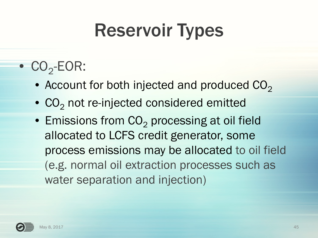#### Reservoir Types

- $\bullet$   $\text{CO}_2\text{-EOR}$ :
	- Account for both injected and produced  $CO<sub>2</sub>$
	- $CO<sub>2</sub>$  not re-injected considered emitted
	- $\bullet$  Emissions from CO<sub>2</sub> processing at oil field allocated to LCFS credit generator, some process emissions may be allocated to oil field (e.g. normal oil extraction processes such as water separation and injection)

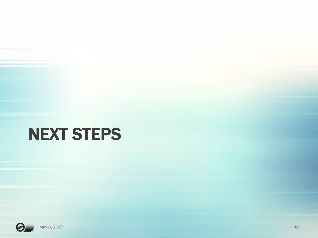#### NEXT STEPS

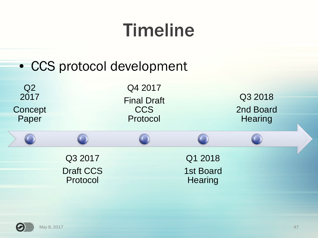#### Timeline

#### • CCS protocol development



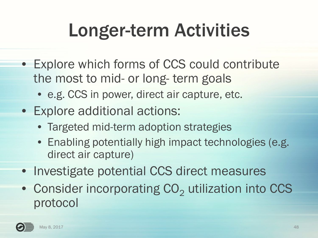### Longer-term Activities

- Explore which forms of CCS could contribute the most to mid- or long- term goals
	- e.g. CCS in power, direct air capture, etc.
- Explore additional actions:
	- Targeted mid-term adoption strategies
	- Enabling potentially high impact technologies (e.g. direct air capture)
- Investigate potential CCS direct measures
- Consider incorporating  $CO<sub>2</sub>$  utilization into CCS protocol

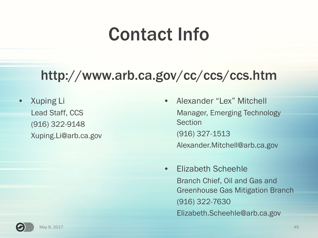#### Contact Info

#### http://www.arb.ca.gov/cc/ccs/ccs.htm

• Xuping Li Lead Staff, CCS (916) 322-9148 Xuping.Li@arb.ca.gov

- Alexander "Lex" Mitchell Manager, Emerging Technology Section (916) 327-1513 Alexander.Mitchell@arb.ca.gov
- Elizabeth Scheehle Branch Chief, Oil and Gas and Greenhouse Gas Mitigation Branch (916) 322-7630 Elizabeth.Scheehle@arb.ca.gov